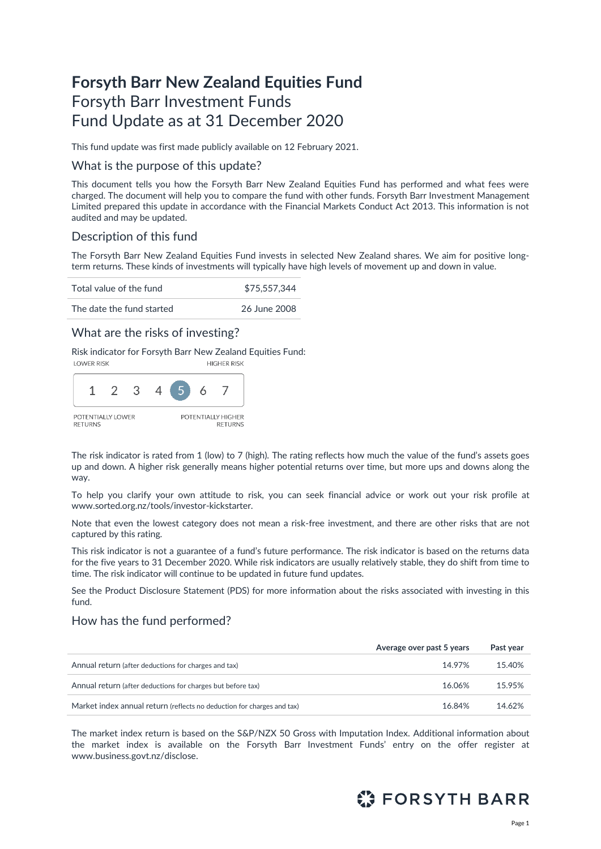# **Forsyth Barr New Zealand Equities Fund** Forsyth Barr Investment Funds Fund Update as at 31 December 2020

This fund update was first made publicly available on 12 February 2021.

### What is the purpose of this update?

This document tells you how the Forsyth Barr New Zealand Equities Fund has performed and what fees were charged. The document will help you to compare the fund with other funds. Forsyth Barr Investment Management Limited prepared this update in accordance with the Financial Markets Conduct Act 2013. This information is not audited and may be updated.

### Description of this fund

The Forsyth Barr New Zealand Equities Fund invests in selected New Zealand shares. We aim for positive longterm returns. These kinds of investments will typically have high levels of movement up and down in value.

| Total value of the fund   | \$75.557.344 |  |
|---------------------------|--------------|--|
| The date the fund started | 26 June 2008 |  |

### What are the risks of investing?

Risk indicator for Forsyth Barr New Zealand Equities Fund:



The risk indicator is rated from 1 (low) to 7 (high). The rating reflects how much the value of the fund's assets goes up and down. A higher risk generally means higher potential returns over time, but more ups and downs along the way.

To help you clarify your own attitude to risk, you can seek financial advice or work out your risk profile at [www.sorted.org.nz/tools/investor-kickstarter.](http://www.sorted.org.nz/tools/investor-kickstarter) 

Note that even the lowest category does not mean a risk-free investment, and there are other risks that are not captured by this rating.

This risk indicator is not a guarantee of a fund's future performance. The risk indicator is based on the returns data for the five years to 31 December 2020. While risk indicators are usually relatively stable, they do shift from time to time. The risk indicator will continue to be updated in future fund updates.

See the Product Disclosure Statement (PDS) for more information about the risks associated with investing in this fund.

### How has the fund performed?

|                                                                        | Average over past 5 years | Past year |
|------------------------------------------------------------------------|---------------------------|-----------|
| Annual return (after deductions for charges and tax)                   | 14.97%                    | 15.40%    |
| Annual return (after deductions for charges but before tax)            | 16.06%                    | 15.95%    |
| Market index annual return (reflects no deduction for charges and tax) | 16.84%                    | 14.62%    |

The market index return is based on the S&P/NZX 50 Gross with Imputation Index. Additional information about the market index is available on the Forsyth Barr Investment Funds' entry on the offer register at [www.business.govt.nz/disclose.](http://www.business.govt.nz/disclose)

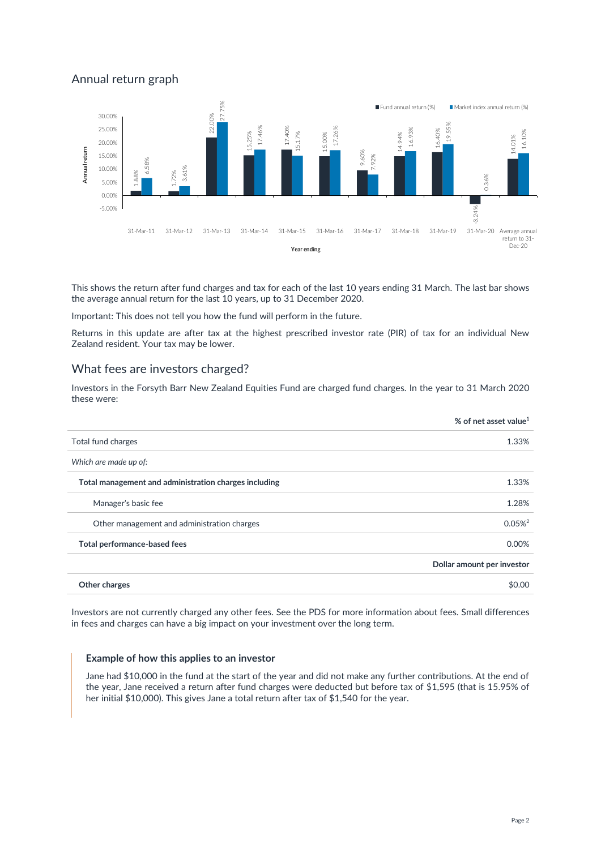## Annual return graph



This shows the return after fund charges and tax for each of the last 10 years ending 31 March. The last bar shows the average annual return for the last 10 years, up to 31 December 2020.

Important: This does not tell you how the fund will perform in the future.

Returns in this update are after tax at the highest prescribed investor rate (PIR) of tax for an individual New Zealand resident. Your tax may be lower.

### What fees are investors charged?

Investors in the Forsyth Barr New Zealand Equities Fund are charged fund charges. In the year to 31 March 2020 these were:

|                                                       | % of net asset value <sup>1</sup> |
|-------------------------------------------------------|-----------------------------------|
| Total fund charges                                    | 1.33%                             |
| Which are made up of:                                 |                                   |
| Total management and administration charges including | 1.33%                             |
| Manager's basic fee                                   | 1.28%                             |
| Other management and administration charges           | $0.05\%$ <sup>2</sup>             |
| Total performance-based fees                          | 0.00%                             |
|                                                       | Dollar amount per investor        |
| Other charges                                         | \$0.00                            |

Investors are not currently charged any other fees. See the PDS for more information about fees. Small differences in fees and charges can have a big impact on your investment over the long term.

#### **Example of how this applies to an investor**

Jane had \$10,000 in the fund at the start of the year and did not make any further contributions. At the end of the year, Jane received a return after fund charges were deducted but before tax of \$1,595 (that is 15.95% of her initial \$10,000). This gives Jane a total return after tax of \$1,540 for the year.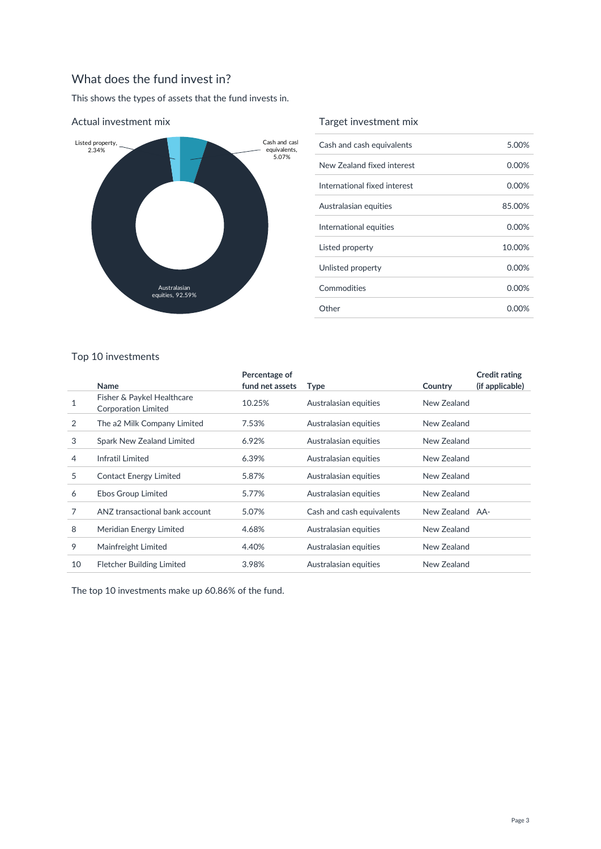# What does the fund invest in?

This shows the types of assets that the fund invests in.



#### Actual investment mix

### Target investment mix

| Cash and cash equivalents    | 5.00%    |
|------------------------------|----------|
| New Zealand fixed interest   | $0.00\%$ |
| International fixed interest | 0.00%    |
| Australasian equities        | 85.00%   |
| International equities       | $0.00\%$ |
| Listed property              | 10.00%   |
| Unlisted property            | $0.00\%$ |
| Commodities                  | 0.00%    |
| Other                        | 0.00%    |

### Top 10 investments

|    | Name                                                     | Percentage of<br>fund net assets | Type                      | Country         | <b>Credit rating</b><br>(if applicable) |
|----|----------------------------------------------------------|----------------------------------|---------------------------|-----------------|-----------------------------------------|
|    | Fisher & Paykel Healthcare<br><b>Corporation Limited</b> | 10.25%                           | Australasian equities     | New Zealand     |                                         |
| 2  | The a2 Milk Company Limited                              | 7.53%                            | Australasian equities     | New Zealand     |                                         |
| 3  | <b>Spark New Zealand Limited</b>                         | 6.92%                            | Australasian equities     | New Zealand     |                                         |
| 4  | <b>Infratil Limited</b>                                  | 6.39%                            | Australasian equities     | New Zealand     |                                         |
| 5  | <b>Contact Energy Limited</b>                            | 5.87%                            | Australasian equities     | New Zealand     |                                         |
| 6  | Ebos Group Limited                                       | 5.77%                            | Australasian equities     | New Zealand     |                                         |
| 7  | ANZ transactional bank account                           | 5.07%                            | Cash and cash equivalents | New Zealand AA- |                                         |
| 8  | Meridian Energy Limited                                  | 4.68%                            | Australasian equities     | New Zealand     |                                         |
| 9  | Mainfreight Limited                                      | 4.40%                            | Australasian equities     | New Zealand     |                                         |
| 10 | Fletcher Building Limited                                | 3.98%                            | Australasian equities     | New Zealand     |                                         |

The top 10 investments make up 60.86% of the fund.